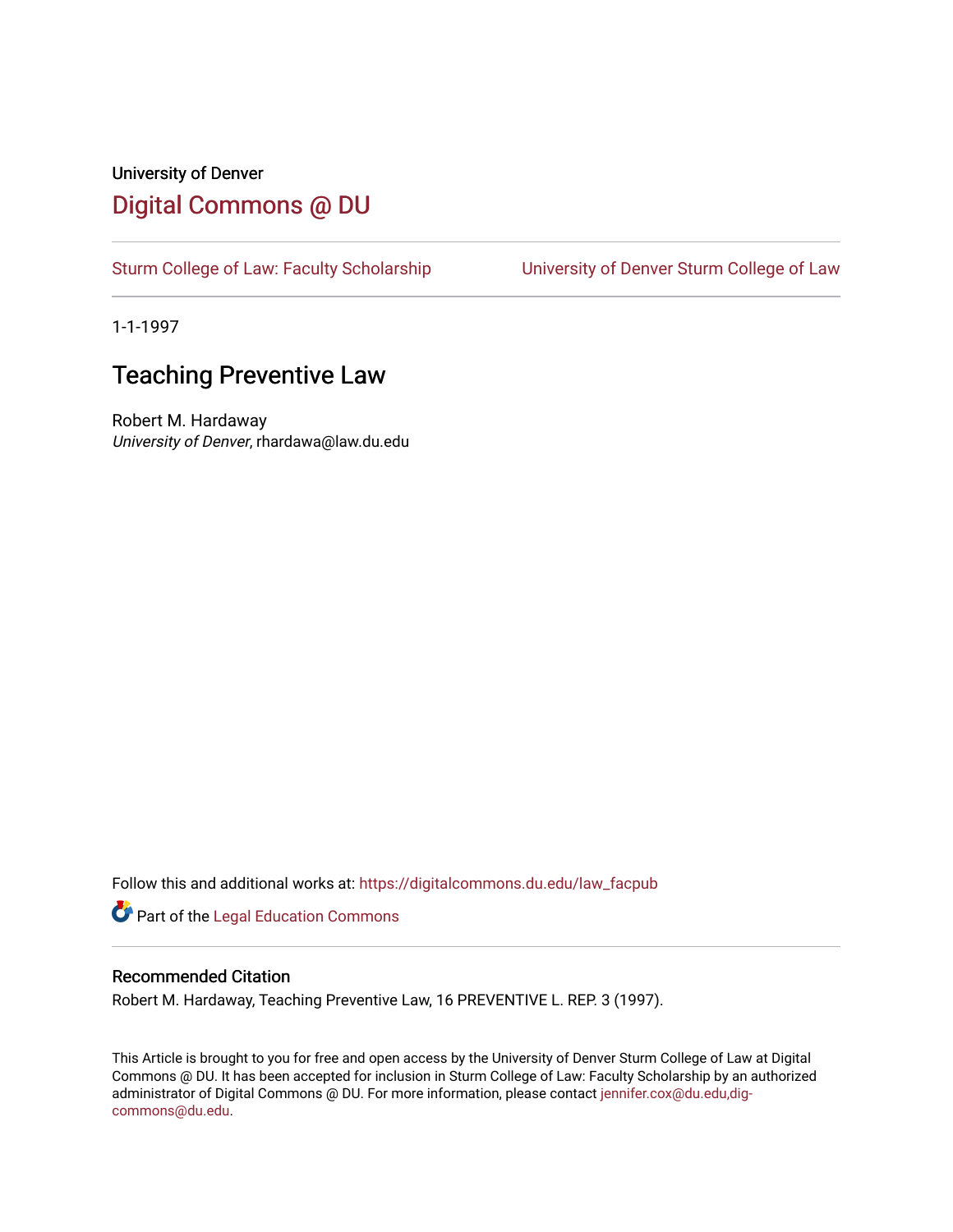# University of Denver [Digital Commons @ DU](https://digitalcommons.du.edu/)

[Sturm College of Law: Faculty Scholarship](https://digitalcommons.du.edu/law_facpub) [University of Denver Sturm College of Law](https://digitalcommons.du.edu/denver_law) 

1-1-1997

# **Teaching Preventive Law**

Robert M. Hardaway University of Denver, rhardawa@law.du.edu

Follow this and additional works at: [https://digitalcommons.du.edu/law\\_facpub](https://digitalcommons.du.edu/law_facpub?utm_source=digitalcommons.du.edu%2Flaw_facpub%2F274&utm_medium=PDF&utm_campaign=PDFCoverPages) 

Part of the [Legal Education Commons](http://network.bepress.com/hgg/discipline/857?utm_source=digitalcommons.du.edu%2Flaw_facpub%2F274&utm_medium=PDF&utm_campaign=PDFCoverPages) 

## Recommended Citation

Robert M. Hardaway, Teaching Preventive Law, 16 PREVENTIVE L. REP. 3 (1997).

This Article is brought to you for free and open access by the University of Denver Sturm College of Law at Digital Commons @ DU. It has been accepted for inclusion in Sturm College of Law: Faculty Scholarship by an authorized administrator of Digital Commons @ DU. For more information, please contact [jennifer.cox@du.edu,dig](mailto:jennifer.cox@du.edu,dig-commons@du.edu)[commons@du.edu.](mailto:jennifer.cox@du.edu,dig-commons@du.edu)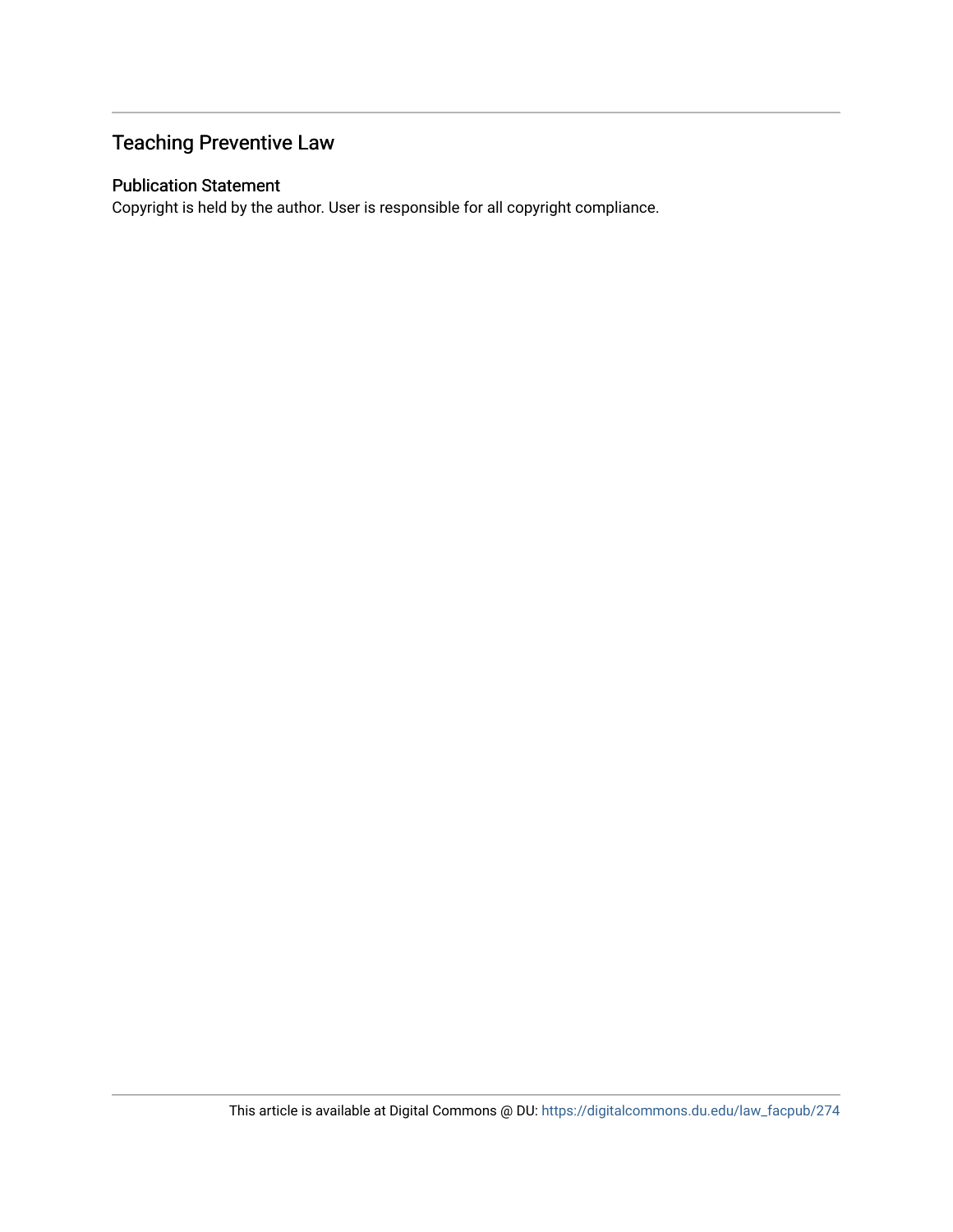# Teaching Preventive Law

# Publication Statement

Copyright is held by the author. User is responsible for all copyright compliance.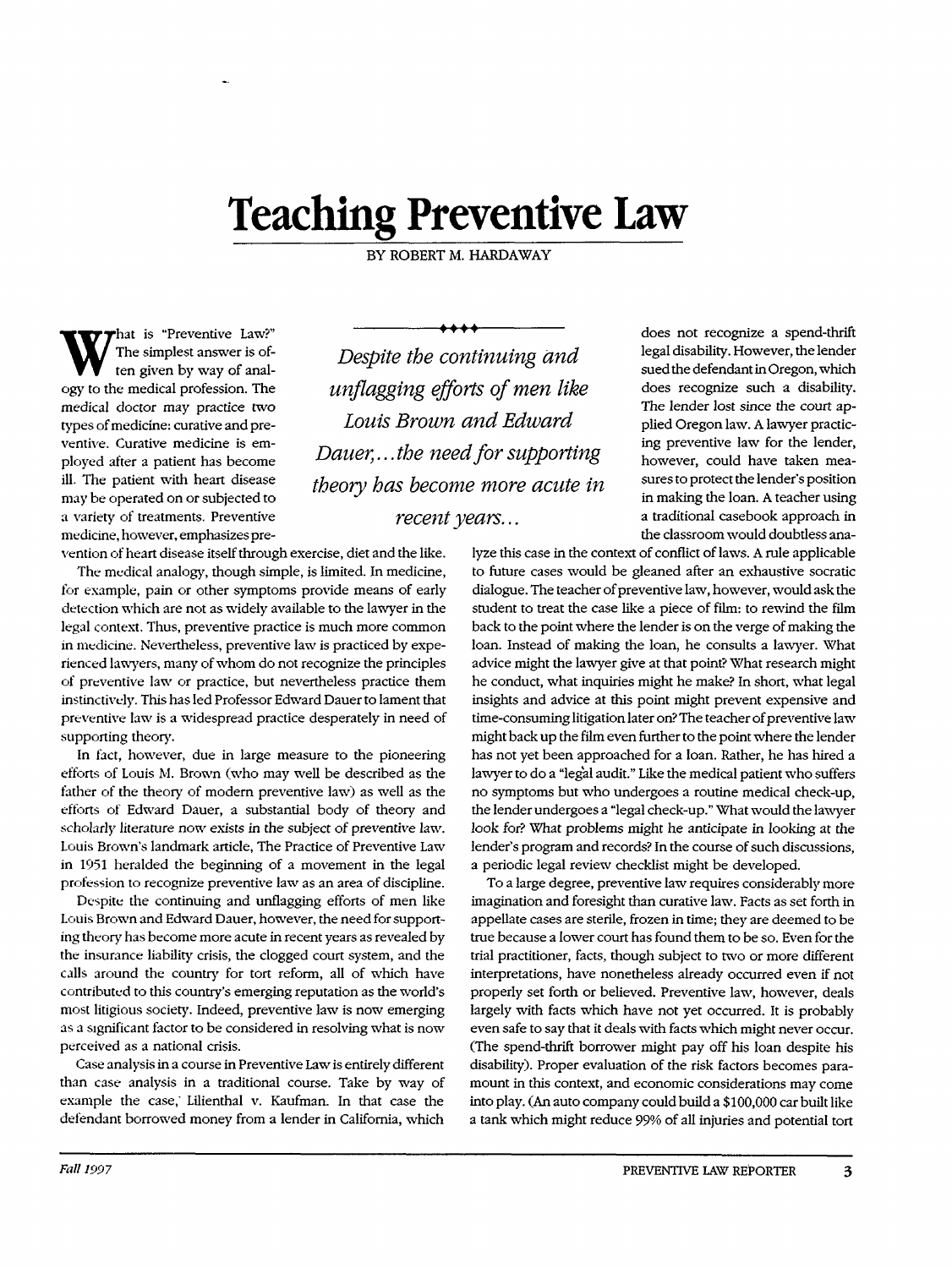# **Teaching Preventive Law**

BY ROBERT M. HARDAWAY

W ten given by way of anal-That is "Preventive Law?"<br>The simplest answer is of-<br>*Despite the continuing and* ogy to the medical profession. The *unflagging efj)* medical doctor may practice two ventive. Curative medicine is employed after a patient has become may be operated on or subjected to a variety of treatments. Preventive medicine, however, emphasizes pre-

types of medicine: curative and pre- *Louis Browr* ill. The patient with heart disease *theory has become more acute in* unflagging efforts of men like Dauer,...the need for supporting *recent years...* 

vention of heart disease itself through exercise, diet and the like. The medical analogy, though simple, is limited. In medicine, for example, pain or other symptoms provide means of early detection which are not as widely available to the lawyer in the legal context. Thus, preventive practice is much more common in medicine. Nevertheless, preventive law is practiced by experienced lawyers, many of whom do not recognize the principles of preventive law or practice, but nevertheless practice them instinctively. This has led Professor Edward Dauer to lament that preventive law is a widespread practice desperately in need of supporting theory.

In fact, however, due in large measure to the pioneering efforts of Louis M. Brown (who may well be described as the father of the theory of modern preventive law) as well as the efforts of Edward Dauer, a substantial body of theory and scholarly literature now exists in the subject of preventive law. Louis Brown's landmark article, The Practice of Preventive Law in 1951 heralded the beginning of a movement in the legal profession to recognize preventive law as an area of discipline.

Despite the continuing and unflagging efforts of men like Louis Brown and Edward Dauer, however, the need for supporting theory has become more acute in recent years as revealed by the insurance liability crisis, the clogged court system, and the calls around the country for tort reform, all of which have contributed to this country's emerging reputation as the world's most litigious society. Indeed, preventive law is now emerging as a significant factor to be considered in resolving what is now perceived as a national crisis.

Case analysis in a course in Preventive Law is entirely different than case analysis in a traditional course. Take by way of example the case, Lilienthal v. Kaufman. In that case the defendant borrowed money from a lender in California, which

does not recognize a spend-thrift *tinuing and* legal disability. However, the lender sued the defendant in Oregon, which does recognize such a disability. The lender lost since the court applied Oregon law. A lawyer practicing preventive law for the lender, however, could have taken mea*e more acute in* sures to protect the lender's position in making the loan. A teacher using a traditional casebook approach in the classroom would doubtless ana-

lyze this case in the context of conflict of laws. A rule applicable to future cases would be gleaned after an exhaustive socratic dialogue. The teacher of preventive law, however, would ask the student to treat the case like a piece of film: to rewind the film back to the point where the lender is on the verge of making the loan. Instead of making the loan, he consults a lawyer. What advice might the lawyer give at that point? What research might he conduct, what inquiries might he make? In short, what legal insights and advice at this point might prevent expensive and time-consuming litigation later on? The teacher of preventive law might back up the film even further to the point where the lender has not yet been approached for a loan. Rather, he has hired a lawyer to do a "legal audit." Like the medical patient who suffers no symptoms but who undergoes a routine medical check-up, the lender undergoes a "legal check-up." What would the lawyer look for? What problems might he anticipate in looking at the lender's program and records? In the course of such discussions, a periodic legal review checklist might be developed.

To a large degree, preventive law requires considerably more imagination and foresight than curative law. Facts as set forth in appellate cases are sterile, frozen in time; they are deemed to be true because a lower court has found them to be so. Even for the trial practitioner, facts, though subject to two or more different interpretations, have nonetheless already occurred even if not properly set forth or believed. Preventive law, however, deals largely with facts which have not yet occurred. It is probably even safe to say that it deals with facts which might never occur. (The spend-thrift borrower might pay off his loan despite his disability). Proper evaluation of the risk factors becomes paramount in this context, and economic considerations may come into play. (An auto company could build a \$100,000 car built like a tank which might reduce 99% of all injuries and potential tort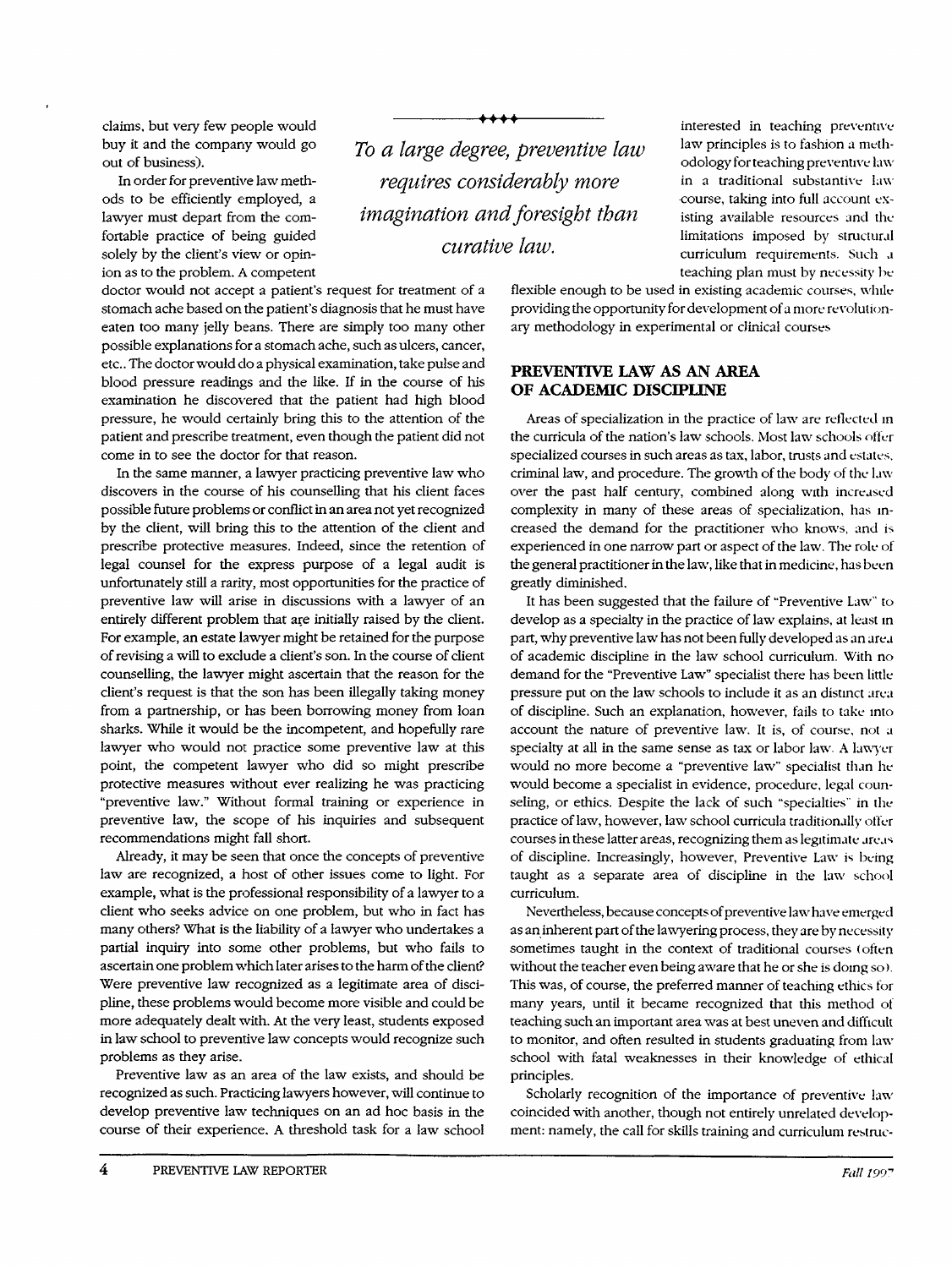claims, but very few people would buy it and the company would go out of business).

ion as to the problem. A competent In order for preventive law methods to be efficiently employed, a lawyer must depart from the comfortable practice of being guided solely by the client's view or opin-

doctor would not accept a patient's request for treatment of a stomach ache based on the patient's diagnosis that he must have eaten too many jelly beans. There are simply too many other possible explanations for a stomach ache, such as ulcers, cancer, etc.. The doctor would do a physical examination, take pulse and blood pressure readings and the like. If in the course of his examination he discovered that the patient had high blood pressure, he would certainly bring this to the attention of the patient and prescribe treatment, even though the patient did not come in to see the doctor for that reason.

In the same manner, a lawyer practicing preventive law who discovers in the course of his counselling that his client faces possible future problems or conflict in an area not yet recognized by the client, will bring this to the attention of the client and prescribe protective measures. Indeed, since the retention of legal counsel for the express purpose of a legal audit is unfortunately still a rarity, most opportunities for the practice of preventive law will arise in discussions with a lawyer of an entirely different problem that are initially raised by the client. For example, an estate lawyer might be retained for the purpose of revising a will to exclude a client's son. In the course of client counselling, the lawyer might ascertain that the reason for the client's request is that the son has been illegally taking money from a partnership, or has been borrowing money from loan sharks. While it would be the incompetent, and hopefully rare lawyer who would not practice some preventive law at this point, the competent lawyer who did so might prescribe protective measures without ever realizing he was practicing "preventive law." Without formal training or experience in preventive law, the scope of his inquiries and subsequent recommendations might fall short.

Already, it may be seen that once the concepts of preventive law are recognized, a host of other issues come to light. For example, what is the professional responsibility of a lawyer to a client who seeks advice on one problem, but who in fact has many others? What is the liability of a lawyer who undertakes a partial inquiry into some other problems, but who fails to ascertain one problem which later arises to the harm of the client? Were preventive law recognized as a legitimate area of discipline, these problems would become more visible and could be more adequately dealt with. At the very least, students exposed in law school to preventive law concepts would recognize such problems as they arise.

Preventive law as an area of the law exists, and should be recognized as such. Practicing lawyers however, will continue to develop preventive law techniques on an ad hoc basis in the course of their experience. A threshold task for a law school

*To a large degree requires considerably more imagination and foresight than curativ*

 $\bm{\bm{\leftarrow}}$ 

interested in teaching preventive law principles is to fashion a methodology for teaching preventive law in a traditional substantive law course, taking into full account existing available resources and the limitations imposed by structural curriculum requirements. Such a teaching plan must by necessity be

flexible enough to be used in existing academic courses, while providing the opportunity for development of a more revolutionary methodology in experimental or clinical courses

## **PREVENTIVE LAW AS AN AREA OF ACADEMIC DISCIPLINE**

Areas of specialization in the practice of law are reflected in the curricula of the nation's law schools. Most law schools offer specialized courses in such areas as tax, labor, trusts and estates, criminal law, and procedure. The growth of the body of the **law** over the past half century, combined along with increased complexity in many of these areas of specialization, has increased the demand for the practitioner who knows, and is experienced in one narrow part or aspect of the law. The role of the general practitioner in the law, like that in medicine, has been greatly diminished.

It has been suggested that the failure of "Preventive Law" to develop as a specialty in the practice of law explains, at least in part, why preventive law has not been fully developed as an area of academic discipline in the law school curriculum. With no demand for the "Preventive Law" specialist there has been little pressure put on the law schools to include it as an distinct area of discipline. Such an explanation, however, fails to take into account the nature of preventive law. It is, of course, not a specialty at all in the same sense as tax or labor law. A lawyer would no more become a "preventive law" specialist than he would become a specialist in evidence, procedure, legal counseling, or ethics. Despite the lack of such "specialties" in the practice of law, however, law school curricula traditionally ofler courses in these latter areas, recognizing them as legitimate areas of discipline. Increasingly, however, Preventive Law is being taught as a separate area of discipline in the law school curriculum.

Nevertheless, because concepts of preventive law have emerged as an inherent part of the lawyering process, they are by necessity sometimes taught in the context of traditional courses (often without the teacher even being aware that he or she is doing so). This was, of course, the preferred manner of teaching ethics for many years, until it became recognized that this method of teaching such an important area was at best uneven and difficult to monitor, and often resulted in students graduating from law school with fatal weaknesses in their knowledge of ethical principles.

Scholarly recognition of the importance of preventive law coincided with another, though not entirely unrelated development: namely, the call for skills training and curriculum restruc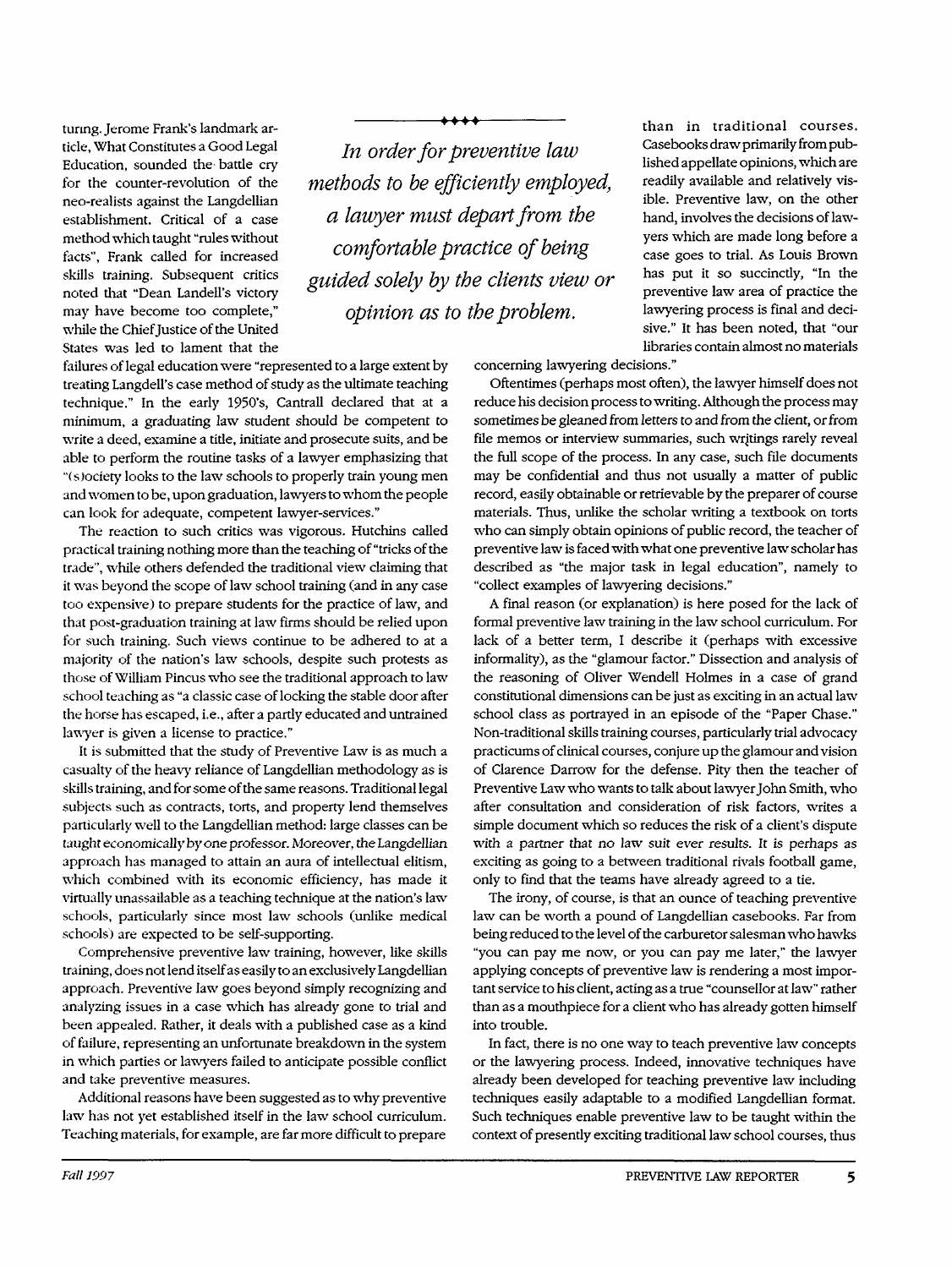turmg. Jerome Frank's landmark article, What Constitutes a Good Legal Education, sounded the- battle cry for the counter-revolution of the neo-realists against the Langdellian establishment. Critical of a case method which taught "rules without facts", Frank called for increased skills training. Subsequent critics noted that "Dean Landell's victory may have become too complete," while the Chief Justice of the United States was led to lament that the

*In order for preventive law methods to be efficiently employed, a lawyer must depart from the comfortable practice of being guided solely by the clients view or opinion as to the problem.*

**I - <sup>I</sup>**

failures of legal education were "represented to a large extent by treating Langdell's case method of study as the ultimate teaching technique." In the early 1950's, Cantrall declared that at a minimum, a graduating law student should be competent to write a deed, examine a title, initiate and prosecute suits, and be able to perform the routine tasks of a lawyer emphasizing that "(s)ociety looks to the law schools to properly train young men and women to be, upon graduation, lawyers to whom the people can look for adequate, competent lawyer-services."

The reaction to such critics was vigorous. Hutchins called practical training nothing more than the teaching of "tricks of the trade", while others defended the traditional view claiming that it was beyond the scope of law school training (and in any case too expensive) to prepare students for the practice of law, and that post-graduation training at law firms should be relied upon for such training. Such views continue to be adhered to at a majority of the nation's law schools, despite such protests as those of William Pincus who see the traditional approach to law school teaching as "a classic case of locking the stable door after the horse has escaped, i.e., after a partly educated and untrained lawyer is given a license to practice."

It is submitted that the study of Preventive Law is as much a casualty of the heavy reliance of Langdellian methodology as is skills training, and for some of the same reasons. Traditional legal subjects such as contracts, torts, and property lend themselves particularly well to the Langdellian method: large classes can be taught economically by *one* professor. *Moreover,* the Langdellian approach has managed to attain an aura of intellectual elitism, which combined with its economic efficiency, has made it virtually unassailable as a teaching technique at the nation's law schools, particularly since most law schools (unlike medical schools) are expected to be self-supporting.

Comprehensive preventive law training, however, like skills training, does not lend itself as easily to an exclusively Langdellian approach. Preventive law goes beyond simply recognizing and analyzing issues in a case which has already gone to trial and been appealed. Rather, it deals with a published case as a kind of failure, representing an unfortunate breakdown in the system in which parties or lawyers failed to anticipate possible conflict and take preventive measures.

Additional reasons have been suggested as to why preventive law has not yet established itself in the law school curriculum. Teaching materials, for example, are far more difficult to prepare than in traditional courses. Casebooks draw primarily from published appellate opinions, which are readily available and relatively visible. Preventive law, on the other hand, involves the decisions of lawyers which are made long before a case goes to trial. As Louis Brown has put it so succinctly, "In the preventive law area of practice the lawyering process is final and decisive." It has been noted, that "our libraries contain almost no materials

concerning lawyering decisions."

Oftentimes (perhaps most often), the lawyer himself does not reduce his decision process to writing. Although the process may sometimes be gleaned from letters to and from the client, or from file memos or interview summaries, such writings rarely reveal the full scope of the process. In any case, such file documents may be confidential and thus not usually a matter of public record, easily obtainable or retrievable by the preparer of course materials. Thus, unlike the scholar writing a textbook on torts who can simply obtain opinions of public record, the teacher of preventive law is faced with what one preventive law scholar has described as "the major task in legal education", namely to "collect examples of lawyering decisions."

A final reason (or explanation) is here posed for the lack of formal preventive law training in the law school curriculum. For lack of a better term, I describe it (perhaps with excessive informality), as the "glamour factor." Dissection and analysis of the reasoning of Oliver Wendell Holmes in a case of grand constitutional dimensions can be just as exciting in an actual law school class as portrayed in an episode of the "Paper Chase." Non-traditional skills training courses, particularly trial advocacy practicums of clinical courses, conjure up the glamour and vision of Clarence Darrow for the defense. Pity then the teacher of Preventive Law who wants to talk about lawyer John Smith, who after consultation and consideration of risk factors, writes a simple document which so reduces the risk of a client's dispute with a partner that no law suit ever results. It is perhaps as exciting as going to a between traditional rivals football game, only to find that the teams have already agreed to a tie.

The irony, of course, is that an ounce of teaching preventive law can be worth a pound of Langdellian casebooks. Far from being reduced to the level of the carburetor salesman who hawks "you can pay me now, or you can pay me later," the lawyer applying concepts of preventive law is rendering a most important service to his client, acting as a true "counsellor at law" rather than as a mouthpiece for a client who has already gotten himself into trouble.

In fact, there is no one way to teach preventive law concepts or the lawyering process. Indeed, innovative techniques have already been developed for teaching preventive law including techniques easily adaptable to a modified Langdellian format. Such techniques enable preventive law to be taught within the context of presently exciting traditional law school courses, thus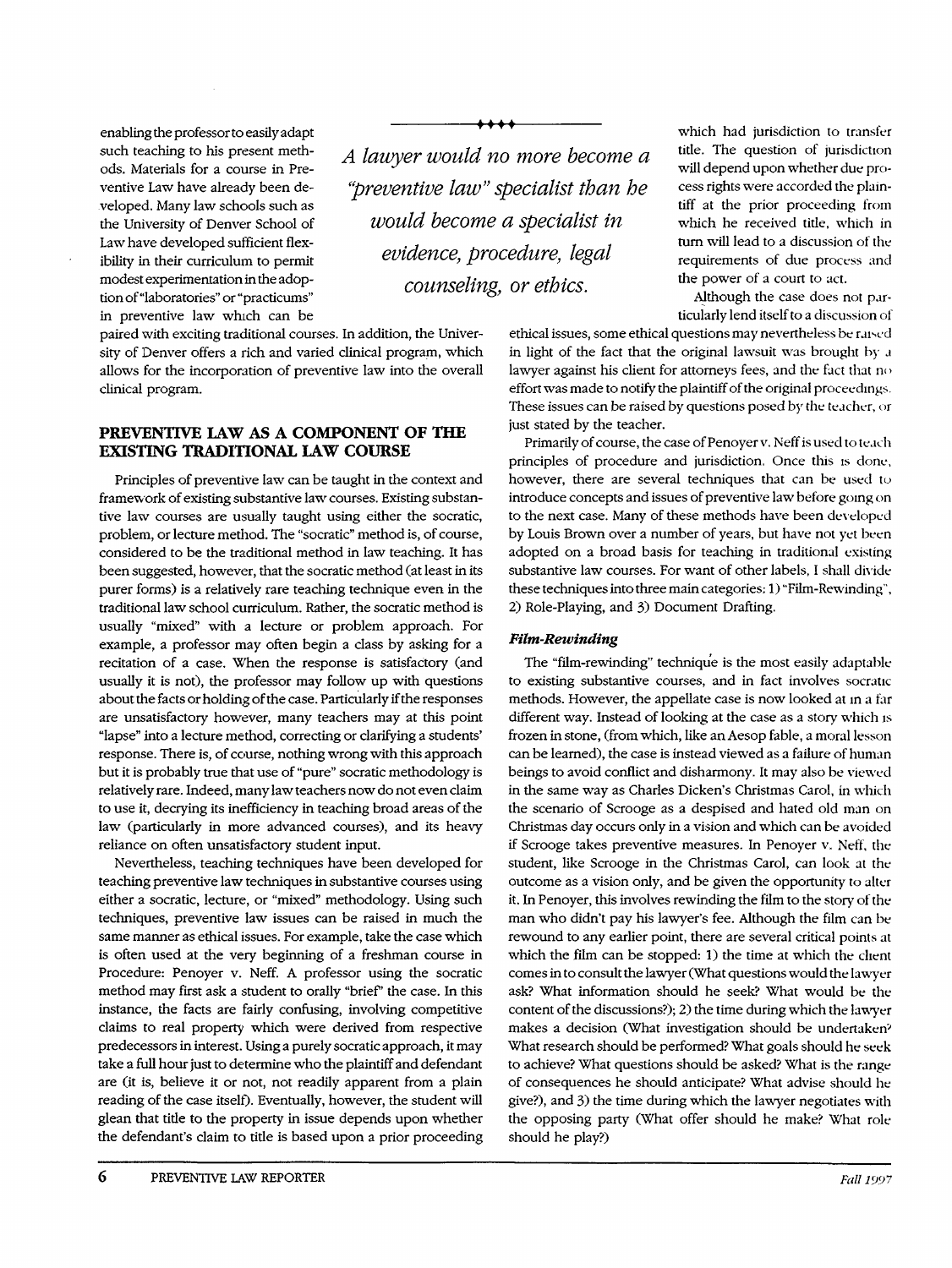modest experimentation in the adop-<br>tion of "laboratories" or "practicums" counseling, or ethics. in preventive law which can be enabling the professor to easily adapt such teaching to his present methods. Materials for a course in Preventive Law have already been developed. Many law schools such as the University of Denver School of Law have developed sufficient flexibility in their curriculum to permit

paired with exciting traditional courses. In addition, the University of Denver offers a rich and varied clinical program, which allows for the incorporation of preventive law into the overall clinical program.

# **PREVENTIVE LAW AS A COMPONENT OF THE EXISTING TRADITIONAL LAW COURSE**

Principles of preventive law can be taught in the context and framework of existing substantive law courses. Existing substantive law courses are usually taught using either the socratic, problem, or lecture method. The "socratic" method is, of course, considered to be the traditional method in law teaching. It has been suggested, however, that the socratic method (at least in its purer forms) is a relatively rare teaching technique even in the traditional law school curriculum. Rather, the socratic method is usually "mixed" with a lecture or problem approach. For example, a professor may often begin a class **by** asking for a recitation of a case. When the response is satisfactory (and usually it is not), the professor may follow up with questions about the facts or holding of the case. Particularly if the responses are unsatisfactory however, many teachers may at this point "lapse" into a lecture method, correcting or clarifying a students' response. There is, of course, nothing wrong with this approach but it is probably true that use of "pure" socratic methodology is relatively rare. Indeed, many law teachers now do not even claim to use it, decrying its inefficiency in teaching broad areas of the law (particularly in more advanced courses), and its heavy reliance on often unsatisfactory student input.

Nevertheless, teaching techniques have been developed for teaching preventive law techniques in substantive courses using either a socratic, lecture, or "mixed" methodology. Using such techniques, preventive law issues can be raised in much the same manner as ethical issues. For example, take the case which is often used at the very beginning of a freshman course in Procedure: Penoyer v. Neff. A professor using the socratic method may first ask a student to orally "brief" the case. In this instance, the facts are fairly confusing, involving competitive claims to real property which were derived from respective predecessors in interest. Using a purely socratic approach, it may take a full hour just to determine who the plaintiff and defendant are (it is, believe it or not, not readily apparent from a plain reading of the case itself). Eventually, however, the student will glean that tide to the property in issue depends upon whether the defendant's claim to tide is based upon a prior proceeding

*A lawyer would no more become a 'preventive law" s would become evidence, proc*

**pp.**

will depend upon whether due process rights were accorded the plaintiff at the prior proceeding from which he received title, which in turn will lead to a discussion of the requirements of due process and the power of a court to act.

**9** which had jurisdiction to transfer title. The question of jurisdiction

Although the case does not particularly lend itself to a discussion of

ethical issues, some ethical questions may nevertheless be raised in light of the fact that the original lawsuit was brought by a lawyer against his client for attorneys fees, and the fact that no effort was made to notify the plaintiff of the original proceedings. These issues can be raised by questions posed by the teacher, or just stated by the teacher.

Primarily of course, the case of Penoyer v. Neff is used to teach principles of procedure and jurisdiction. Once this is done, however, there are several techniques that can be used **to** introduce concepts and issues of preventive law before going on to the next case. Many of these methods have been developed by Louis Brown over a number of years, but have not yet been adopted on a broad basis for teaching in traditional existing substantive law courses. For want of other labels, I shall divide these techniques into three main categories: 1) "Film-Rewinding", 2) Role-Playing, and 3) Document Drafting.

## *Film-Rewinding*

The "film-rewinding" technique is the most easily adaptable to existing substantive courses, and in fact involves socratic methods. However, the appellate case is now looked at in a far different way. Instead of looking at the case as a story which is frozen in stone, (from which, like an Aesop fable, a moral lesson can be learned), the case is instead viewed as a failure of human beings to avoid conflict and disharmony. It may also be viewed in the same way as Charles Dicken's Christmas Carol, in which the scenario of Scrooge as a despised and hated old man on Christmas day occurs only in a vision and which can be avoided if Scrooge takes preventive measures. In Penoyer v. Neff, the student, like Scrooge in the Christmas Carol, can look at the outcome as a vision only, and be given the opportunity to alter it. In Penoyer, this involves rewinding the film to the story of the man who didn't pay his lawyer's fee. Although the film can be rewound to any earlier point, there are several critical points at which the film can be stopped: 1) the time at which the client comes in to consult the lawyer (What questions would the lawyer ask? What information should he seek? What would be the content of the discussions?); 2) the time during which the lawyer makes a decision (What investigation should be undertaken<sup>2</sup> What research should be performed? What goals should he seek to achieve? What questions should be asked? What is the range of consequences he should anticipate? What advise should he give?), and 3) the time during which the lawyer negotiates with the opposing party (What offer should he make? What role should he play?)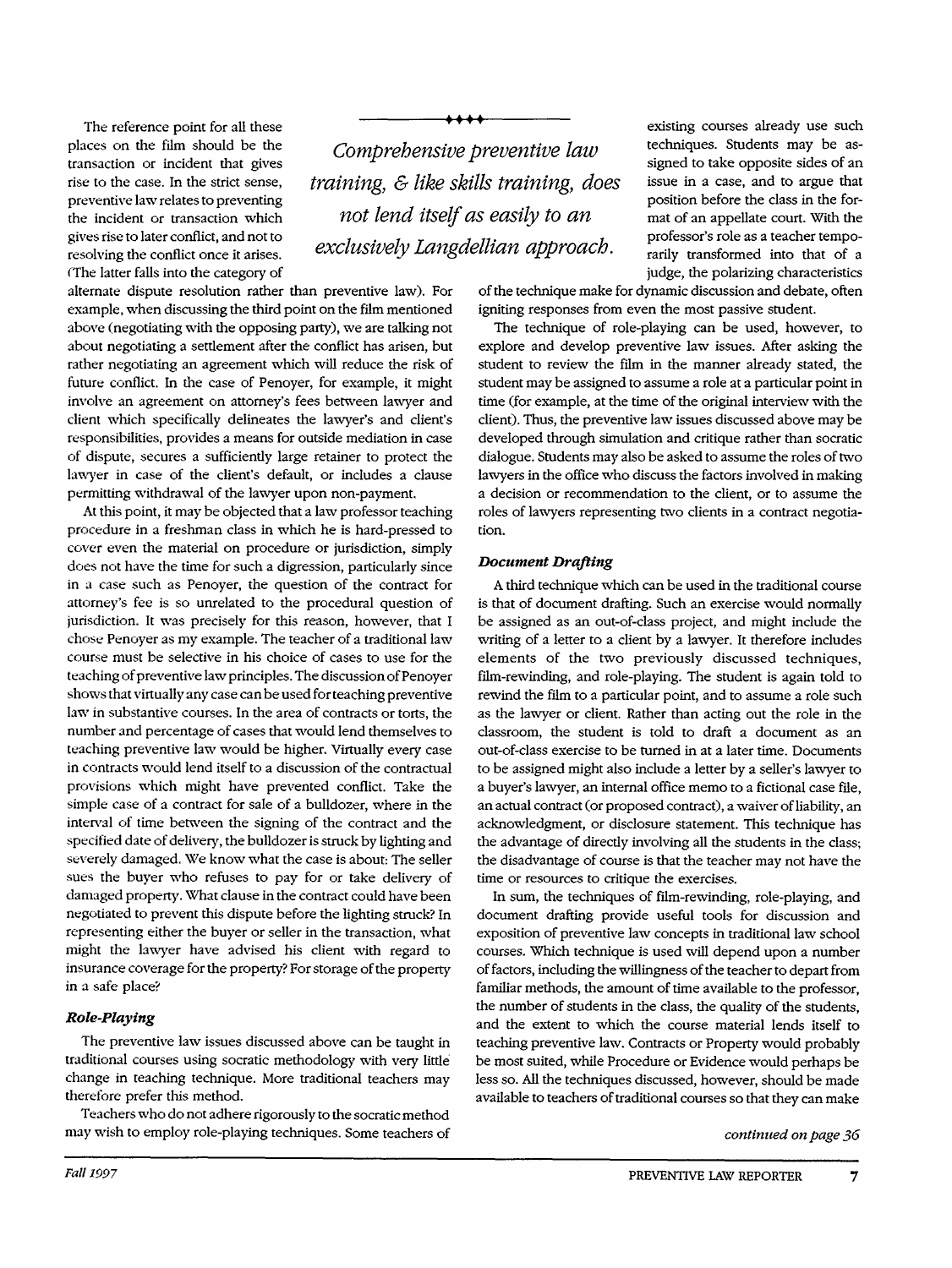(The latter falls into the category of The reference point for all these places on the film should be the transaction or incident that gives rise to the case. In the strict sense, preventive law relates to preventing the incident or transaction which gives rise to later conflict, and not to resolving the conflict once it arises.

alternate dispute resolution rather than preventive law). For example, when discussing the third point on the film mentioned above (negotiating with the opposing party), we are talking not about negotiating a settlement after the conflict has arisen, but rather negotiating an agreement which will reduce the risk of future conflict. In the case of Penoyer, for example, it might involve an agreement on attorney's fees between lawyer and client which specifically delineates the lawyer's and client's responsibilities, provides a means for outside mediation in case of dispute, secures a sufficiently large retainer to protect the lawyer in case of the client's default, or includes a clause permitting withdrawal of the lawyer upon non-payment.

At this point, it may be objected that a law professor teaching procedure in a freshman class in which he is hard-pressed to cover even the material on procedure or jurisdiction, simply does not have the time for such a digression, particularly since in a case such as Penoyer, the question of the contract for attorney's fee is so unrelated to the procedural question of jurisdiction. It was precisely for this reason, however, that I chose Penoyer as my example. The teacher of a traditional law course must be selective in his choice of cases to use for the teaching of preventive law principles. The discussion of Penoyer shows that virtually any case can be used for teaching preventive law in substantive courses. In the area of contracts or torts, the number and percentage of cases that would lend themselves to teaching preventive law would be higher. Virtually every case in contracts would lend itself to a discussion of the contractual provisions which might have prevented conflict. Take the simple case of a contract for sale of a bulldozer, where in the interval of time between the signing of the contract and the specified date of delivery, the bulldozer is struck by lighting and severely damaged. We know what the case is about: The seller sues the buyer who refuses to pay for or take delivery of damaged property. What clause in the contract could have been negotiated to prevent this dispute before the lighting struck? In representing either the buyer or seller in the transaction, what might the lawyer have advised his client with regard to insurance coverage for the property? For storage of the property in a safe place?

## *Role-Playing*

The preventive law issues discussed above can be taught in traditional courses using socratic methodology with very little change in teaching technique. More traditional teachers may therefore prefer this method.

Teachers who do not adhere rigorously to the socratic method may wish to employ role-playing techniques. Some teachers of

*Comprehensive training, & like sk not lend itself exclusively Langd*

AAAA

existing courses already use such techniques. Students may be assigned to take opposite sides of an *'ils training, does* issue in a case, and to argue that position before the class in the for*is easily to an* mat of an appellate court. With the professor's role as a teacher tempo-<br>rarily transformed into that of a judge, the polarizing characteristics

of the technique make for dynamic discussion and debate, often igniting responses from even the most passive student.

The technique of role-playing can be used, however, to explore and develop preventive law issues. After asking the student to review the film in the manner already stated, the student may be assigned to assume a role at a particular point in time (for example, at the time of the original interview with the client). Thus, the preventive law issues discussed above may be developed through simulation and critique rather than socratic dialogue. Students may also be asked to assume the roles of two lawyers in the office who discuss the factors involved in making a decision or recommendation to the client, or to assume the roles of lawyers representing two clients in a contract negotiation.

#### *Document Drafting*

A third technique which can be used in the traditional course is that of document drafting. Such an exercise would normally be assigned as an out-of-class project, and might include the writing of a letter to a client by a lawyer. It therefore includes elements of the two previously discussed techniques, film-rewinding, and role-playing. The student is again told to rewind the film to a particular point, and to assume a role such as the lawyer or client. Rather than acting out the role in the classroom, the student is told to draft a document as an out-of-class exercise to be turned in at a later time. Documents to be assigned might also include a letter by a seller's lawyer to a buyer's lawyer, an internal office memo to a fictional case file, an actual contract (or proposed contract), a waiver of liability, an acknowledgment, or disclosure statement. This technique has the advantage of directly involving all the students in the class; the disadvantage of course is that the teacher may not have the time or resources to critique the exercises.

In sum, the techniques of film-rewinding, role-playing, and document drafting provide useful tools for discussion and exposition of preventive law concepts in traditional law school courses. Which technique is used will depend upon a number of factors, including the willingness of the teacher to depart from familiar methods, the amount of time available to the professor, the number of students in the class, the quality of the students, and the extent to which the course material lends itself to teaching preventive law. Contracts or Property would probably be most suited, while Procedure or Evidence would perhaps be less so. All the techniques discussed, however, should be made available to teachers of traditional courses so that they can make

*continued on page 36*